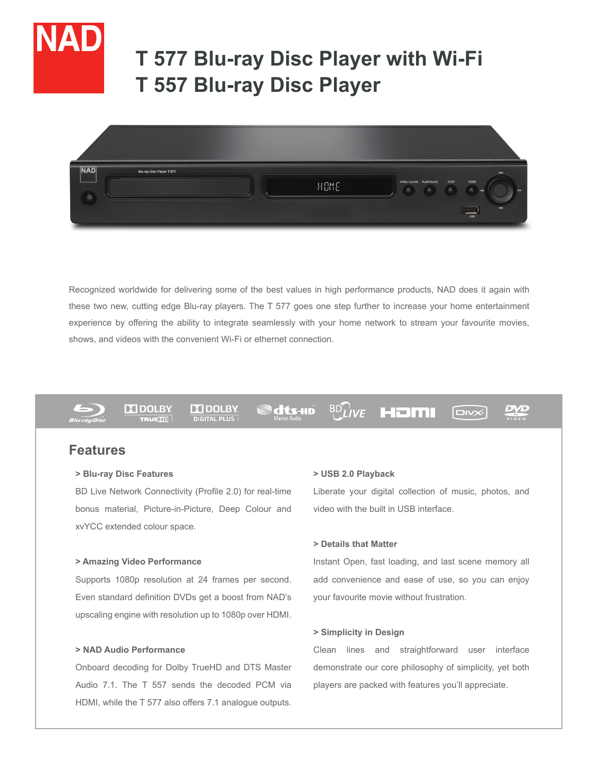

# **T 577 Blu-ray Disc Player with Wi-Fi T 557 Blu-ray Disc Player**



Recognized worldwide for delivering some of the best values in high performance products, NAD does it again with these two new, cutting edge Blu-ray players. The T 577 goes one step further to increase your home entertainment experience by offering the ability to integrate seamlessly with your home network to stream your favourite movies, shows, and videos with the convenient Wi-Fi or ethernet connection.



**DO DOLBY TRUETT** 

**DO DOLBY DIGITAL PLUS** 

dts-HD

**BD**LIVE HOMI

**DIVX** 

DVL

# **Features**

# **> Blu-ray Disc Features**

BD Live Network Connectivity (Profile 2.0) for real-time bonus material, Picture-in-Picture, Deep Colour and xvYCC extended colour space.

# **> Amazing Video Performance**

Supports 1080p resolution at 24 frames per second. Even standard definition DVDs get a boost from NAD's upscaling engine with resolution up to 1080p over HDMI.

# **> NAD Audio Performance**

Onboard decoding for Dolby TrueHD and DTS Master Audio 7.1. The T 557 sends the decoded PCM via HDMI, while the T 577 also offers 7.1 analogue outputs.

# **> USB 2.0 Playback**

Liberate your digital collection of music, photos, and video with the built in USB interface.

# **> Details that Matter**

Instant Open, fast loading, and last scene memory all add convenience and ease of use, so you can enjoy your favourite movie without frustration.

#### **> Simplicity in Design**

Clean lines and straightforward user interface demonstrate our core philosophy of simplicity, yet both players are packed with features you'll appreciate.